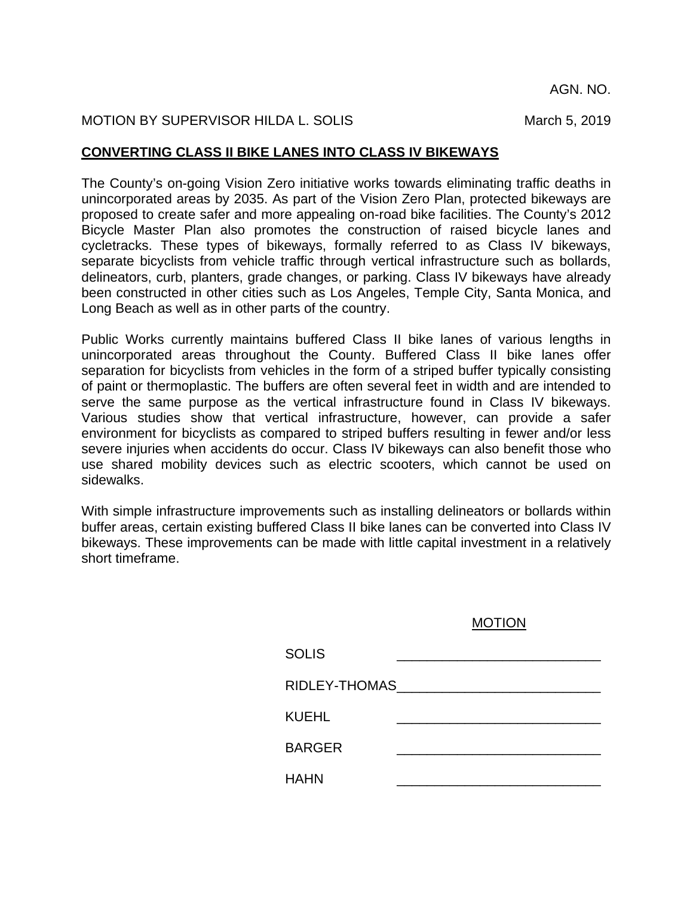AGN. NO.

## MOTION BY SUPERVISOR HILDA L. SOLIS MARIES AND MARCH 5, 2019

## **CONVERTING CLASS II BIKE LANES INTO CLASS IV BIKEWAYS**

The County's on-going Vision Zero initiative works towards eliminating traffic deaths in unincorporated areas by 2035. As part of the Vision Zero Plan, protected bikeways are proposed to create safer and more appealing on-road bike facilities. The County's 2012 Bicycle Master Plan also promotes the construction of raised bicycle lanes and cycletracks. These types of bikeways, formally referred to as Class IV bikeways, separate bicyclists from vehicle traffic through vertical infrastructure such as bollards, delineators, curb, planters, grade changes, or parking. Class IV bikeways have already been constructed in other cities such as Los Angeles, Temple City, Santa Monica, and Long Beach as well as in other parts of the country.

Public Works currently maintains buffered Class II bike lanes of various lengths in unincorporated areas throughout the County. Buffered Class II bike lanes offer separation for bicyclists from vehicles in the form of a striped buffer typically consisting of paint or thermoplastic. The buffers are often several feet in width and are intended to serve the same purpose as the vertical infrastructure found in Class IV bikeways. Various studies show that vertical infrastructure, however, can provide a safer environment for bicyclists as compared to striped buffers resulting in fewer and/or less severe injuries when accidents do occur. Class IV bikeways can also benefit those who use shared mobility devices such as electric scooters, which cannot be used on sidewalks.

With simple infrastructure improvements such as installing delineators or bollards within buffer areas, certain existing buffered Class II bike lanes can be converted into Class IV bikeways. These improvements can be made with little capital investment in a relatively short timeframe.

## MOTION

| <b>SOLIS</b>  |                              |
|---------------|------------------------------|
|               | RIDLEY-THOMAS NORTH PARTICLE |
| <b>KUEHL</b>  |                              |
| <b>BARGER</b> |                              |
| <b>HAHN</b>   |                              |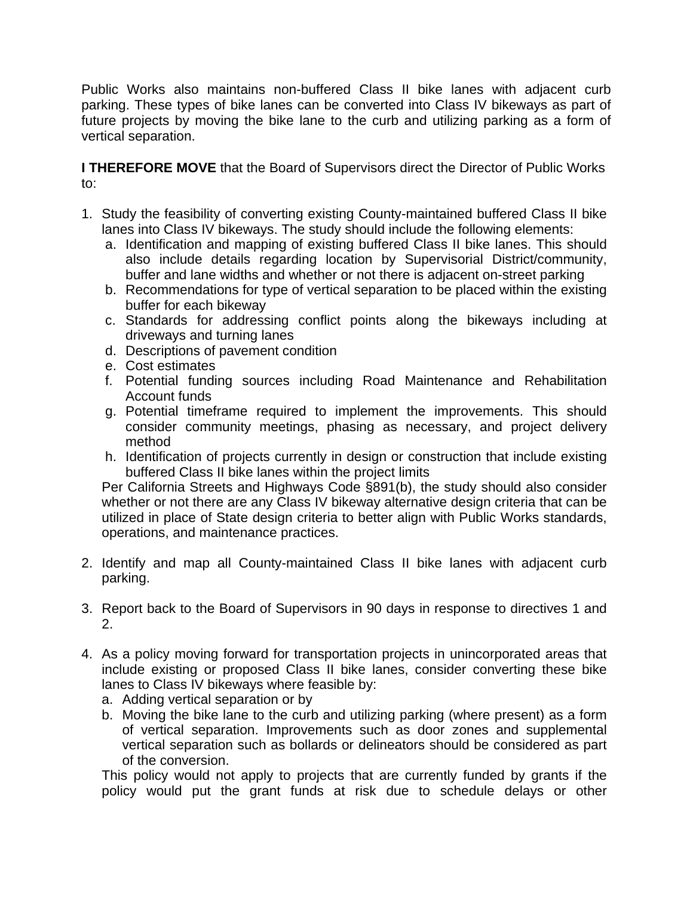Public Works also maintains non-buffered Class II bike lanes with adjacent curb parking. These types of bike lanes can be converted into Class IV bikeways as part of future projects by moving the bike lane to the curb and utilizing parking as a form of vertical separation.

**I THEREFORE MOVE** that the Board of Supervisors direct the Director of Public Works to:

- 1. Study the feasibility of converting existing County-maintained buffered Class II bike lanes into Class IV bikeways. The study should include the following elements:
	- a. Identification and mapping of existing buffered Class II bike lanes. This should also include details regarding location by Supervisorial District/community, buffer and lane widths and whether or not there is adjacent on-street parking
	- b. Recommendations for type of vertical separation to be placed within the existing buffer for each bikeway
	- c. Standards for addressing conflict points along the bikeways including at driveways and turning lanes
	- d. Descriptions of pavement condition
	- e. Cost estimates
	- f. Potential funding sources including Road Maintenance and Rehabilitation Account funds
	- g. Potential timeframe required to implement the improvements. This should consider community meetings, phasing as necessary, and project delivery method
	- h. Identification of projects currently in design or construction that include existing buffered Class II bike lanes within the project limits

Per California Streets and Highways Code §891(b), the study should also consider whether or not there are any Class IV bikeway alternative design criteria that can be utilized in place of State design criteria to better align with Public Works standards, operations, and maintenance practices.

- 2. Identify and map all County-maintained Class II bike lanes with adjacent curb parking.
- 3. Report back to the Board of Supervisors in 90 days in response to directives 1 and 2.
- 4. As a policy moving forward for transportation projects in unincorporated areas that include existing or proposed Class II bike lanes, consider converting these bike lanes to Class IV bikeways where feasible by:
	- a. Adding vertical separation or by
	- b. Moving the bike lane to the curb and utilizing parking (where present) as a form of vertical separation. Improvements such as door zones and supplemental vertical separation such as bollards or delineators should be considered as part of the conversion.

This policy would not apply to projects that are currently funded by grants if the policy would put the grant funds at risk due to schedule delays or other